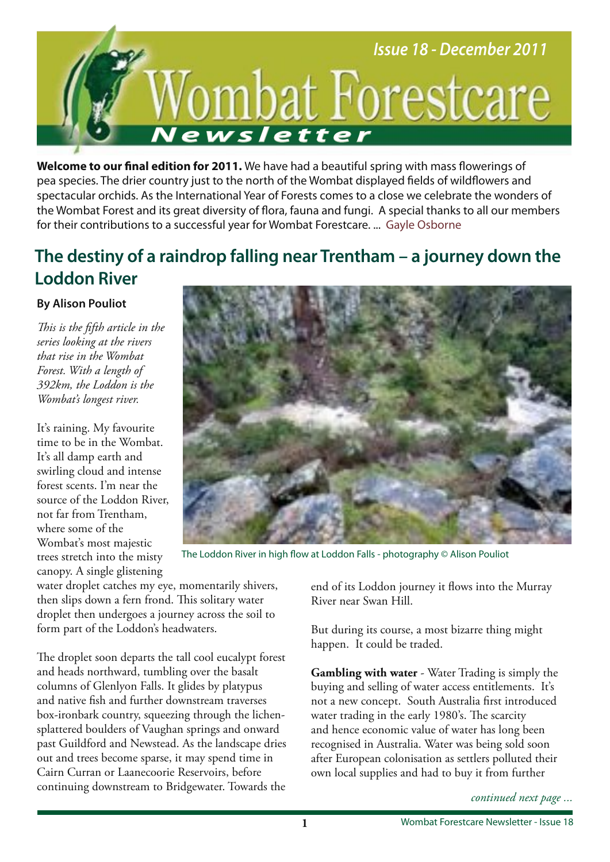

**Welcome to our fnal edition for 2011.** We have had a beautiful spring with mass fowerings of pea species. The drier country just to the north of the Wombat displayed felds of wildfowers and spectacular orchids. As the International Year of Forests comes to a close we celebrate the wonders of the Wombat Forest and its great diversity of flora, fauna and fungi. A special thanks to all our members for their contributions to a successful year for Wombat Forestcare. ... Gayle Osborne

## **The destiny of a raindrop falling near Trentham – a journey down the Loddon River**

#### **By Alison Pouliot**

*Tis is the ffth article in the series looking at the rivers that rise in the Wombat Forest. With a length of 392km, the Loddon is the Wombat's longest river.* 

It's raining. My favourite time to be in the Wombat. It's all damp earth and swirling cloud and intense forest scents. I'm near the source of the Loddon River, not far from Trentham, where some of the Wombat's most majestic trees stretch into the misty canopy. A single glistening



The Loddon River in high flow at Loddon Falls - photography © Alison Pouliot

water droplet catches my eye, momentarily shivers, then slips down a fern frond. This solitary water droplet then undergoes a journey across the soil to form part of the Loddon's headwaters.

The droplet soon departs the tall cool eucalypt forest and heads northward, tumbling over the basalt columns of Glenlyon Falls. It glides by platypus and native fsh and further downstream traverses box-ironbark country, squeezing through the lichensplattered boulders of Vaughan springs and onward past Guildford and Newstead. As the landscape dries out and trees become sparse, it may spend time in Cairn Curran or Laanecoorie Reservoirs, before continuing downstream to Bridgewater. Towards the end of its Loddon journey it flows into the Murray River near Swan Hill.

But during its course, a most bizarre thing might happen. It could be traded.

**Gambling with water** - Water Trading is simply the buying and selling of water access entitlements. It's not a new concept. South Australia frst introduced water trading in the early 1980's. The scarcity and hence economic value of water has long been recognised in Australia. Water was being sold soon after European colonisation as settlers polluted their own local supplies and had to buy it from further

*continued next page ...*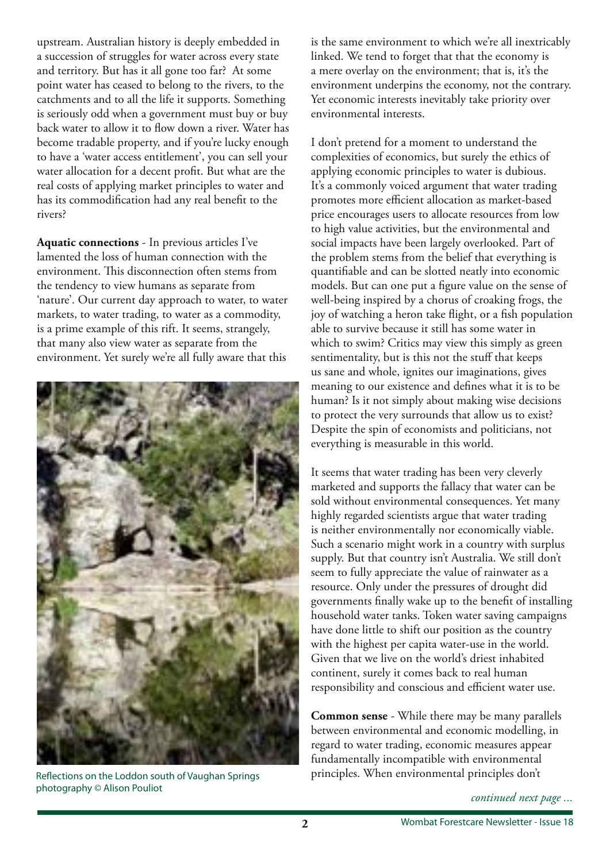upstream. Australian history is deeply embedded in a succession of struggles for water across every state and territory. But has it all gone too far? At some point water has ceased to belong to the rivers, to the catchments and to all the life it supports. Something is seriously odd when a government must buy or buy back water to allow it to flow down a river. Water has become tradable property, and if you're lucky enough to have a 'water access entitlement', you can sell your water allocation for a decent proft. But what are the real costs of applying market principles to water and has its commodifcation had any real beneft to the rivers?

**Aquatic connections** - In previous articles I've lamented the loss of human connection with the environment. This disconnection often stems from the tendency to view humans as separate from 'nature'. Our current day approach to water, to water markets, to water trading, to water as a commodity, is a prime example of this rift. It seems, strangely, that many also view water as separate from the environment. Yet surely we're all fully aware that this



photography © Alison Pouliot

is the same environment to which we're all inextricably linked. We tend to forget that that the economy is a mere overlay on the environment; that is, it's the environment underpins the economy, not the contrary. Yet economic interests inevitably take priority over environmental interests.

I don't pretend for a moment to understand the complexities of economics, but surely the ethics of applying economic principles to water is dubious. It's a commonly voiced argument that water trading promotes more efficient allocation as market-based price encourages users to allocate resources from low to high value activities, but the environmental and social impacts have been largely overlooked. Part of the problem stems from the belief that everything is quantifable and can be slotted neatly into economic models. But can one put a fgure value on the sense of well-being inspired by a chorus of croaking frogs, the joy of watching a heron take flight, or a fish population able to survive because it still has some water in which to swim? Critics may view this simply as green sentimentality, but is this not the stuff that keeps us sane and whole, ignites our imaginations, gives meaning to our existence and defnes what it is to be human? Is it not simply about making wise decisions to protect the very surrounds that allow us to exist? Despite the spin of economists and politicians, not everything is measurable in this world.

It seems that water trading has been very cleverly marketed and supports the fallacy that water can be sold without environmental consequences. Yet many highly regarded scientists argue that water trading is neither environmentally nor economically viable. Such a scenario might work in a country with surplus supply. But that country isn't Australia. We still don't seem to fully appreciate the value of rainwater as a resource. Only under the pressures of drought did governments fnally wake up to the beneft of installing household water tanks. Token water saving campaigns have done little to shift our position as the country with the highest per capita water-use in the world. Given that we live on the world's driest inhabited continent, surely it comes back to real human responsibility and conscious and efficient water use.

**Common sense** - While there may be many parallels between environmental and economic modelling, in regard to water trading, economic measures appear fundamentally incompatible with environmental Reflections on the Loddon south of Vaughan Springs principles. When environmental principles don't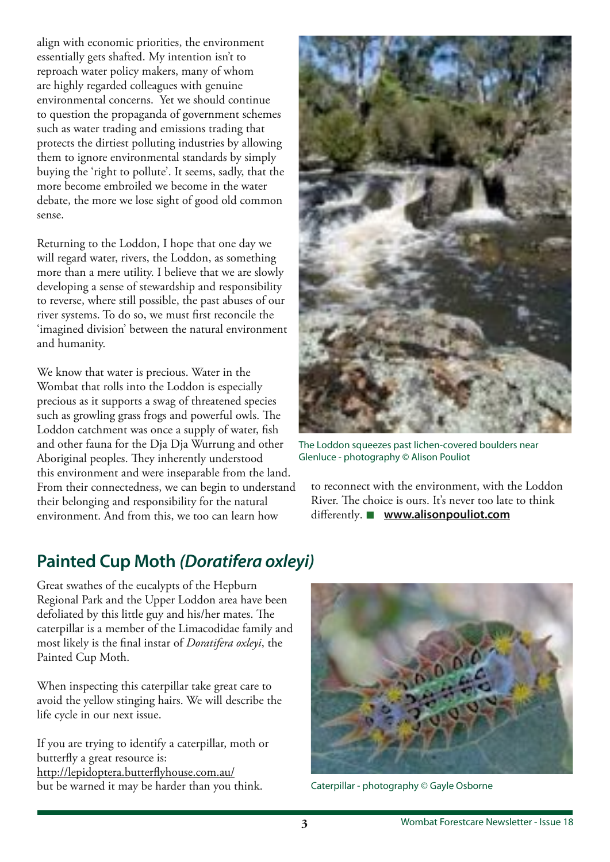align with economic priorities, the environment essentially gets shafted. My intention isn't to reproach water policy makers, many of whom are highly regarded colleagues with genuine environmental concerns. Yet we should continue to question the propaganda of government schemes such as water trading and emissions trading that protects the dirtiest polluting industries by allowing them to ignore environmental standards by simply buying the 'right to pollute'. It seems, sadly, that the more become embroiled we become in the water debate, the more we lose sight of good old common sense.

Returning to the Loddon, I hope that one day we will regard water, rivers, the Loddon, as something more than a mere utility. I believe that we are slowly developing a sense of stewardship and responsibility to reverse, where still possible, the past abuses of our river systems. To do so, we must frst reconcile the 'imagined division' between the natural environment and humanity.

We know that water is precious. Water in the Wombat that rolls into the Loddon is especially precious as it supports a swag of threatened species such as growling grass frogs and powerful owls. The Loddon catchment was once a supply of water, fsh and other fauna for the Dja Dja Wurrung and other Aboriginal peoples. They inherently understood this environment and were inseparable from the land. From their connectedness, we can begin to understand their belonging and responsibility for the natural environment. And from this, we too can learn how



The Loddon squeezes past lichen-covered boulders near Glenluce - photography © Alison Pouliot

to reconnect with the environment, with the Loddon River. The choice is ours. It's never too late to think diferently. **www.alisonpouliot.com**

### **Painted Cup Moth (Doratifera oxleyi)**

Great swathes of the eucalypts of the Hepburn Regional Park and the Upper Loddon area have been defoliated by this little guy and his/her mates. The caterpillar is a member of the Limacodidae family and most likely is the fnal instar of *Doratifera oxleyi*, the Painted Cup Moth.

When inspecting this caterpillar take great care to avoid the yellow stinging hairs. We will describe the life cycle in our next issue.

If you are trying to identify a caterpillar, moth or butterfy a great resource is: http://lepidoptera.butterfyhouse.com.au/ but be warned it may be harder than you think.



Caterpillar - photography © Gayle Osborne